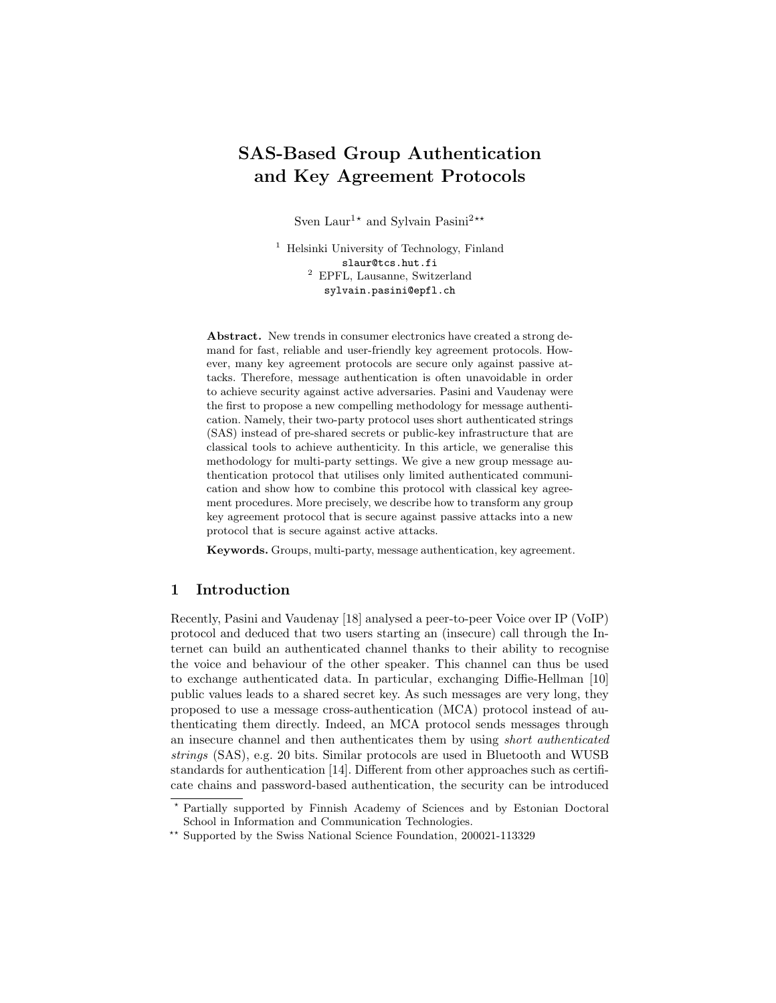# SAS-Based Group Authentication and Key Agreement Protocols

Sven Laur $^{1\star}$  and Sylvain Pasini $^{2\star\star}$ 

<sup>1</sup> Helsinki University of Technology, Finland slaur@tcs.hut.fi <sup>2</sup> EPFL, Lausanne, Switzerland sylvain.pasini@epfl.ch

Abstract. New trends in consumer electronics have created a strong demand for fast, reliable and user-friendly key agreement protocols. However, many key agreement protocols are secure only against passive attacks. Therefore, message authentication is often unavoidable in order to achieve security against active adversaries. Pasini and Vaudenay were the first to propose a new compelling methodology for message authentication. Namely, their two-party protocol uses short authenticated strings (SAS) instead of pre-shared secrets or public-key infrastructure that are classical tools to achieve authenticity. In this article, we generalise this methodology for multi-party settings. We give a new group message authentication protocol that utilises only limited authenticated communication and show how to combine this protocol with classical key agreement procedures. More precisely, we describe how to transform any group key agreement protocol that is secure against passive attacks into a new protocol that is secure against active attacks.

Keywords. Groups, multi-party, message authentication, key agreement.

#### 1 Introduction

Recently, Pasini and Vaudenay [18] analysed a peer-to-peer Voice over IP (VoIP) protocol and deduced that two users starting an (insecure) call through the Internet can build an authenticated channel thanks to their ability to recognise the voice and behaviour of the other speaker. This channel can thus be used to exchange authenticated data. In particular, exchanging Diffie-Hellman [10] public values leads to a shared secret key. As such messages are very long, they proposed to use a message cross-authentication (MCA) protocol instead of authenticating them directly. Indeed, an MCA protocol sends messages through an insecure channel and then authenticates them by using short authenticated strings (SAS), e.g. 20 bits. Similar protocols are used in Bluetooth and WUSB standards for authentication [14]. Different from other approaches such as certificate chains and password-based authentication, the security can be introduced

<sup>?</sup> Partially supported by Finnish Academy of Sciences and by Estonian Doctoral School in Information and Communication Technologies.

<sup>\*\*</sup> Supported by the Swiss National Science Foundation, 200021-113329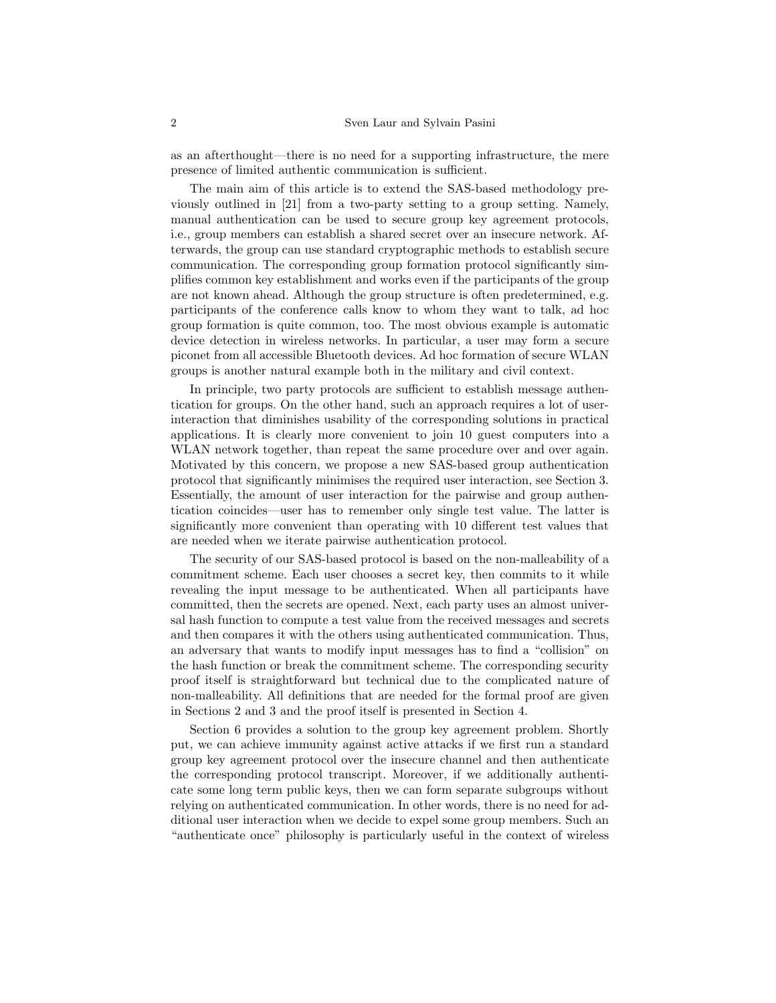as an afterthought—there is no need for a supporting infrastructure, the mere presence of limited authentic communication is sufficient.

The main aim of this article is to extend the SAS-based methodology previously outlined in [21] from a two-party setting to a group setting. Namely, manual authentication can be used to secure group key agreement protocols, i.e., group members can establish a shared secret over an insecure network. Afterwards, the group can use standard cryptographic methods to establish secure communication. The corresponding group formation protocol significantly simplifies common key establishment and works even if the participants of the group are not known ahead. Although the group structure is often predetermined, e.g. participants of the conference calls know to whom they want to talk, ad hoc group formation is quite common, too. The most obvious example is automatic device detection in wireless networks. In particular, a user may form a secure piconet from all accessible Bluetooth devices. Ad hoc formation of secure WLAN groups is another natural example both in the military and civil context.

In principle, two party protocols are sufficient to establish message authentication for groups. On the other hand, such an approach requires a lot of userinteraction that diminishes usability of the corresponding solutions in practical applications. It is clearly more convenient to join 10 guest computers into a WLAN network together, than repeat the same procedure over and over again. Motivated by this concern, we propose a new SAS-based group authentication protocol that significantly minimises the required user interaction, see Section 3. Essentially, the amount of user interaction for the pairwise and group authentication coincides—user has to remember only single test value. The latter is significantly more convenient than operating with 10 different test values that are needed when we iterate pairwise authentication protocol.

The security of our SAS-based protocol is based on the non-malleability of a commitment scheme. Each user chooses a secret key, then commits to it while revealing the input message to be authenticated. When all participants have committed, then the secrets are opened. Next, each party uses an almost universal hash function to compute a test value from the received messages and secrets and then compares it with the others using authenticated communication. Thus, an adversary that wants to modify input messages has to find a "collision" on the hash function or break the commitment scheme. The corresponding security proof itself is straightforward but technical due to the complicated nature of non-malleability. All definitions that are needed for the formal proof are given in Sections 2 and 3 and the proof itself is presented in Section 4.

Section 6 provides a solution to the group key agreement problem. Shortly put, we can achieve immunity against active attacks if we first run a standard group key agreement protocol over the insecure channel and then authenticate the corresponding protocol transcript. Moreover, if we additionally authenticate some long term public keys, then we can form separate subgroups without relying on authenticated communication. In other words, there is no need for additional user interaction when we decide to expel some group members. Such an "authenticate once" philosophy is particularly useful in the context of wireless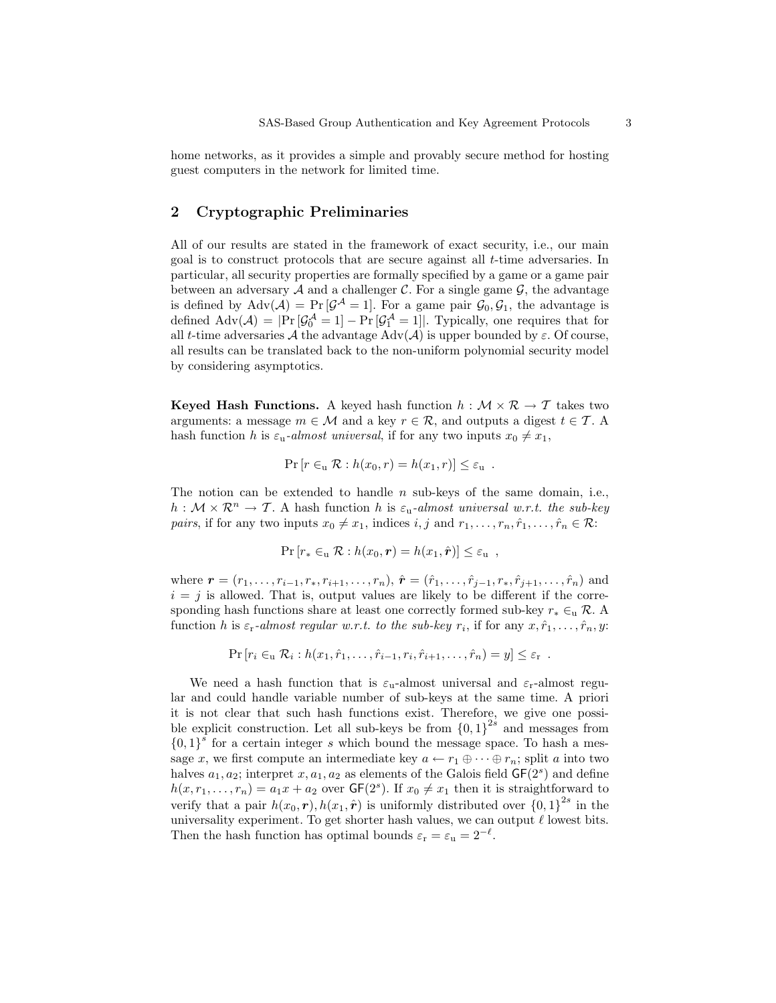home networks, as it provides a simple and provably secure method for hosting guest computers in the network for limited time.

# 2 Cryptographic Preliminaries

All of our results are stated in the framework of exact security, i.e., our main goal is to construct protocols that are secure against all  $t$ -time adversaries. In particular, all security properties are formally specified by a game or a game pair between an adversary  $A$  and a challenger  $C$ . For a single game  $G$ , the advantage is defined by  $\text{Adv}(\mathcal{A}) = \Pr[\mathcal{G}^{\mathcal{A}} = 1]$ . For a game pair  $\mathcal{G}_0, \mathcal{G}_1$ , the advantage is defined  $\text{Adv}(\mathcal{A}) = |\text{Pr}[\mathcal{G}_0^{\mathcal{A}} = 1] - \text{Pr}[\mathcal{G}_1^{\mathcal{A}} = 1]|$ . Typically, one requires that for all t-time adversaries A the advantage  $Adv(\mathcal{A})$  is upper bounded by  $\varepsilon$ . Of course, all results can be translated back to the non-uniform polynomial security model by considering asymptotics.

Keyed Hash Functions. A keyed hash function  $h : \mathcal{M} \times \mathcal{R} \to \mathcal{T}$  takes two arguments: a message  $m \in \mathcal{M}$  and a key  $r \in \mathcal{R}$ , and outputs a digest  $t \in \mathcal{T}$ . A hash function h is  $\varepsilon_u$ -almost universal, if for any two inputs  $x_0 \neq x_1$ ,

$$
Pr[r \in_{\mathbf{u}} \mathcal{R} : h(x_0, r) = h(x_1, r)] \leq \varepsilon_{\mathbf{u}}.
$$

The notion can be extended to handle  $n$  sub-keys of the same domain, i.e.,  $h : \mathcal{M} \times \mathcal{R}^n \to \mathcal{T}$ . A hash function h is  $\varepsilon_u$ -almost universal w.r.t. the sub-key *pairs*, if for any two inputs  $x_0 \neq x_1$ , indices i, j and  $r_1, \ldots, r_n, \hat{r}_1, \ldots, \hat{r}_n \in \mathcal{R}$ :

$$
\Pr[r_* \in_u \mathcal{R} : h(x_0, r) = h(x_1, \hat{r})] \leq \varepsilon_u ,
$$

where  $\mathbf{r} = (r_1, \ldots, r_{i-1}, r_*, r_{i+1}, \ldots, r_n), \hat{\mathbf{r}} = (\hat{r}_1, \ldots, \hat{r}_{j-1}, r_*, \hat{r}_{j+1}, \ldots, \hat{r}_n)$  and  $i = j$  is allowed. That is, output values are likely to be different if the corresponding hash functions share at least one correctly formed sub-key  $r_* \in_{\text{u}} \mathcal{R}$ . A function h is  $\varepsilon_r$ -almost regular w.r.t. to the sub-key  $r_i$ , if for any  $x, \hat{r}_1, \ldots, \hat{r}_n, y$ :

$$
\Pr[r_i \in_u \mathcal{R}_i : h(x_1, \hat{r}_1, \dots, \hat{r}_{i-1}, r_i, \hat{r}_{i+1}, \dots, \hat{r}_n) = y] \leq \varepsilon_r.
$$

We need a hash function that is  $\varepsilon_{u}$ -almost universal and  $\varepsilon_{r}$ -almost regular and could handle variable number of sub-keys at the same time. A priori it is not clear that such hash functions exist. Therefore, we give one possible explicit construction. Let all sub-keys be from  ${0,1}^{2s}$  and messages from  ${0,1}^s$  for a certain integer s which bound the message space. To hash a message x, we first compute an intermediate key  $a \leftarrow r_1 \oplus \cdots \oplus r_n$ ; split a into two halves  $a_1, a_2$ ; interpret  $x, a_1, a_2$  as elements of the Galois field  $GF(2<sup>s</sup>)$  and define  $h(x, r_1, \ldots, r_n) = a_1 x + a_2$  over  $GF(2<sup>s</sup>)$ . If  $x_0 \neq x_1$  then it is straightforward to verify that a pair  $h(x_0, r)$ ,  $h(x_1, \hat{r})$  is uniformly distributed over  ${0, 1}^{\text{2s}}$  in the universality experiment. To get shorter hash values, we can output  $\ell$  lowest bits. Then the hash function has optimal bounds  $\varepsilon_{\rm r} = \varepsilon_{\rm u} = 2^{-\ell}$ .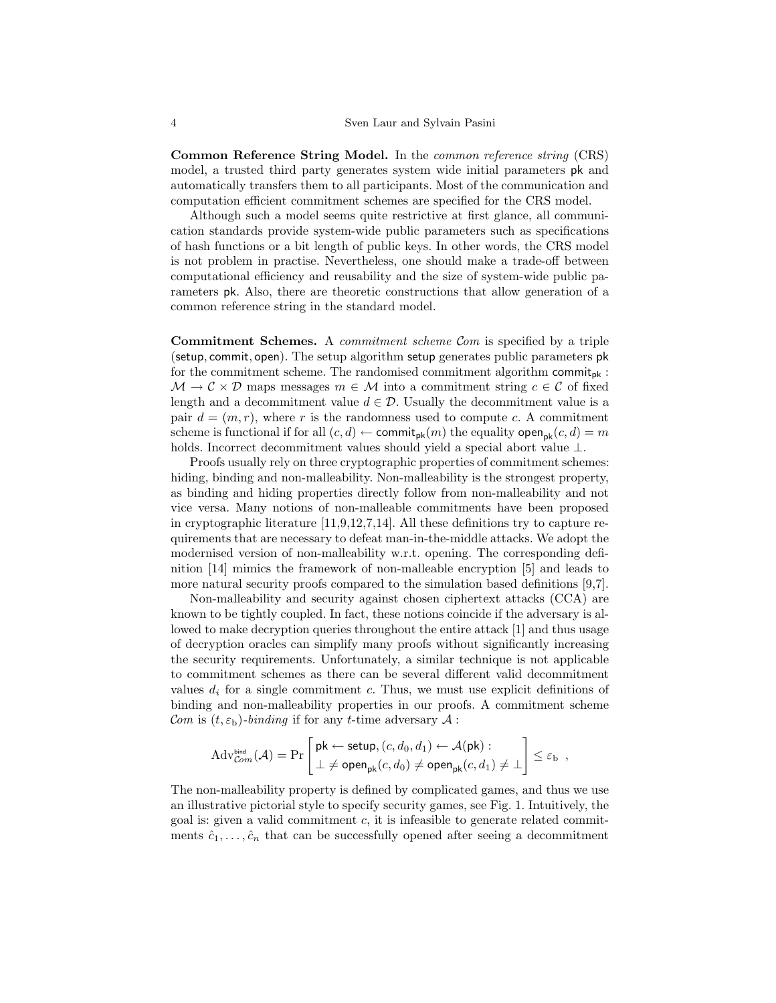Common Reference String Model. In the common reference string (CRS) model, a trusted third party generates system wide initial parameters pk and automatically transfers them to all participants. Most of the communication and computation efficient commitment schemes are specified for the CRS model.

Although such a model seems quite restrictive at first glance, all communication standards provide system-wide public parameters such as specifications of hash functions or a bit length of public keys. In other words, the CRS model is not problem in practise. Nevertheless, one should make a trade-off between computational efficiency and reusability and the size of system-wide public parameters pk. Also, there are theoretic constructions that allow generation of a common reference string in the standard model.

Commitment Schemes. A commitment scheme Com is specified by a triple (setup, commit, open). The setup algorithm setup generates public parameters pk for the commitment scheme. The randomised commitment algorithm commit<sub>pk</sub>:  $\mathcal{M} \to \mathcal{C} \times \mathcal{D}$  maps messages  $m \in \mathcal{M}$  into a commitment string  $c \in \mathcal{C}$  of fixed length and a decommitment value  $d \in \mathcal{D}$ . Usually the decommitment value is a pair  $d = (m, r)$ , where r is the randomness used to compute c. A commitment scheme is functional if for all  $(c, d) \leftarrow$  commit<sub>pk</sub> $(m)$  the equality open<sub>pk</sub> $(c, d) = m$ holds. Incorrect decommitment values should yield a special abort value ⊥.

Proofs usually rely on three cryptographic properties of commitment schemes: hiding, binding and non-malleability. Non-malleability is the strongest property, as binding and hiding properties directly follow from non-malleability and not vice versa. Many notions of non-malleable commitments have been proposed in cryptographic literature [11,9,12,7,14]. All these definitions try to capture requirements that are necessary to defeat man-in-the-middle attacks. We adopt the modernised version of non-malleability w.r.t. opening. The corresponding definition [14] mimics the framework of non-malleable encryption [5] and leads to more natural security proofs compared to the simulation based definitions [9,7].

Non-malleability and security against chosen ciphertext attacks (CCA) are known to be tightly coupled. In fact, these notions coincide if the adversary is allowed to make decryption queries throughout the entire attack [1] and thus usage of decryption oracles can simplify many proofs without significantly increasing the security requirements. Unfortunately, a similar technique is not applicable to commitment schemes as there can be several different valid decommitment values  $d_i$  for a single commitment c. Thus, we must use explicit definitions of binding and non-malleability properties in our proofs. A commitment scheme Com is  $(t, \varepsilon_b)$ -binding if for any t-time adversary A:

$$
\mathrm{Adv}_{\mathcal{C}om}^{\mathrm{bind}}(\mathcal{A}) = \Pr\left[\frac{\mathsf{pk} \leftarrow \mathsf{setup}, (c, d_0, d_1) \leftarrow \mathcal{A}(\mathsf{pk}) : \newline \bot \neq \mathsf{open}_{\mathsf{pk}}(c, d_0) \neq \mathsf{open}_{\mathsf{pk}}(c, d_1) \neq \bot \right] \leq \varepsilon_{\mathsf{b}} \enspace,
$$

The non-malleability property is defined by complicated games, and thus we use an illustrative pictorial style to specify security games, see Fig. 1. Intuitively, the goal is: given a valid commitment  $c$ , it is infeasible to generate related commitments  $\hat{c}_1, \ldots, \hat{c}_n$  that can be successfully opened after seeing a decommitment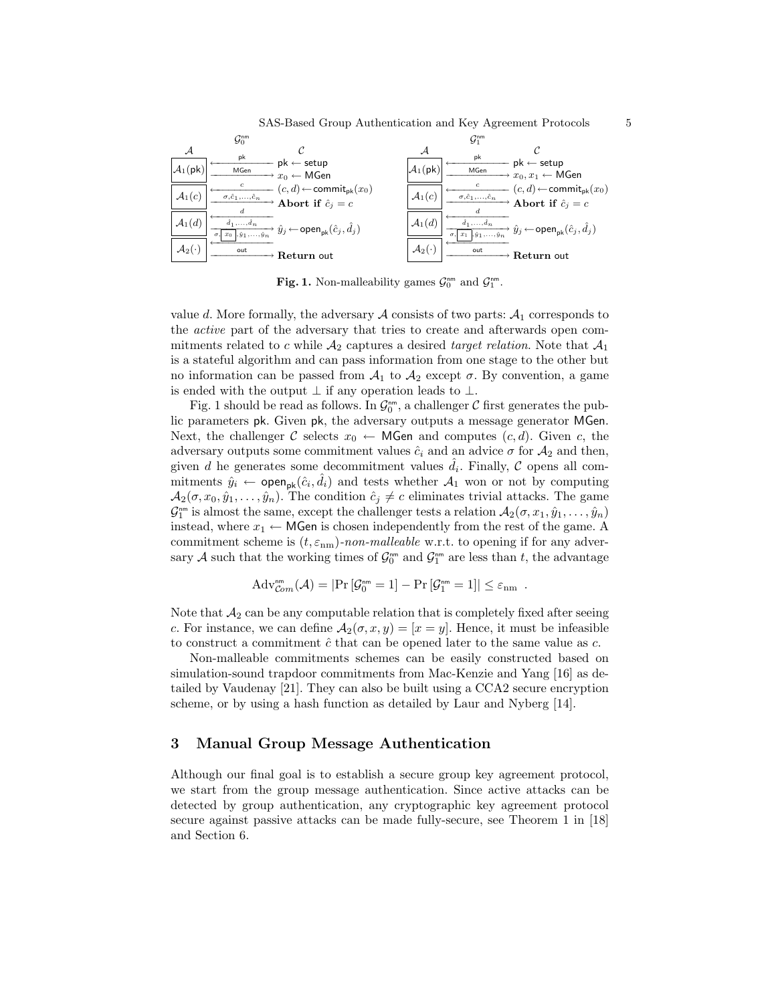

SAS-Based Group Authentication and Key Agreement Protocols 5

Fig. 1. Non-malleability games  $\mathcal{G}_0^{\text{nm}}$  and  $\mathcal{G}_1^{\text{nm}}$ .

value d. More formally, the adversary  $A$  consists of two parts:  $A_1$  corresponds to the active part of the adversary that tries to create and afterwards open commitments related to c while  $A_2$  captures a desired target relation. Note that  $A_1$ is a stateful algorithm and can pass information from one stage to the other but no information can be passed from  $\mathcal{A}_1$  to  $\mathcal{A}_2$  except  $\sigma$ . By convention, a game is ended with the output  $\perp$  if any operation leads to  $\perp$ .

Fig. 1 should be read as follows. In  $\mathcal{G}_0^{\text{nm}}$ , a challenger  $\mathcal C$  first generates the public parameters pk. Given pk, the adversary outputs a message generator MGen. Next, the challenger C selects  $x_0 \leftarrow M$ Gen and computes  $(c, d)$ . Given c, the adversary outputs some commitment values  $\hat{c}_i$  and an advice  $\sigma$  for  $\mathcal{A}_2$  and then, given d he generates some decommitment values  $\hat{d}_i$ . Finally, C opens all commitments  $\hat{y}_i \leftarrow$  open<sub>pk</sub> $(\hat{c}_i, \hat{d}_i)$  and tests whether  $\mathcal{A}_1$  won or not by computing  $\mathcal{A}_2(\sigma, x_0, \hat{y}_1, \ldots, \hat{y}_n)$ . The condition  $\hat{c}_i \neq c$  eliminates trivial attacks. The game  $\mathcal{G}_1^{\text{nm}}$  is almost the same, except the challenger tests a relation  $\mathcal{A}_2(\sigma, x_1, \hat{y}_1, \dots, \hat{y}_n)$ instead, where  $x_1 \leftarrow \text{MGen}$  is chosen independently from the rest of the game. A commitment scheme is  $(t, \varepsilon_{nm})$ -non-malleable w.r.t. to opening if for any adversary A such that the working times of  $\mathcal{G}_0^{\text{nm}}$  and  $\mathcal{G}_1^{\text{nm}}$  are less than t, the advantage

$$
\mathrm{Adv}_{Com}^{\mathsf{nm}}(\mathcal{A}) = |\mathrm{Pr}\left[\mathcal{G}_0^{\mathsf{nm}} = 1\right] - \mathrm{Pr}\left[\mathcal{G}_1^{\mathsf{nm}} = 1\right]| \leq \varepsilon_{\mathrm{nm}}.
$$

Note that  $A_2$  can be any computable relation that is completely fixed after seeing c. For instance, we can define  $A_2(\sigma, x, y) = [x = y]$ . Hence, it must be infeasible to construct a commitment  $\hat{c}$  that can be opened later to the same value as  $c$ .

Non-malleable commitments schemes can be easily constructed based on simulation-sound trapdoor commitments from Mac-Kenzie and Yang [16] as detailed by Vaudenay [21]. They can also be built using a CCA2 secure encryption scheme, or by using a hash function as detailed by Laur and Nyberg [14].

### 3 Manual Group Message Authentication

Although our final goal is to establish a secure group key agreement protocol, we start from the group message authentication. Since active attacks can be detected by group authentication, any cryptographic key agreement protocol secure against passive attacks can be made fully-secure, see Theorem 1 in [18] and Section 6.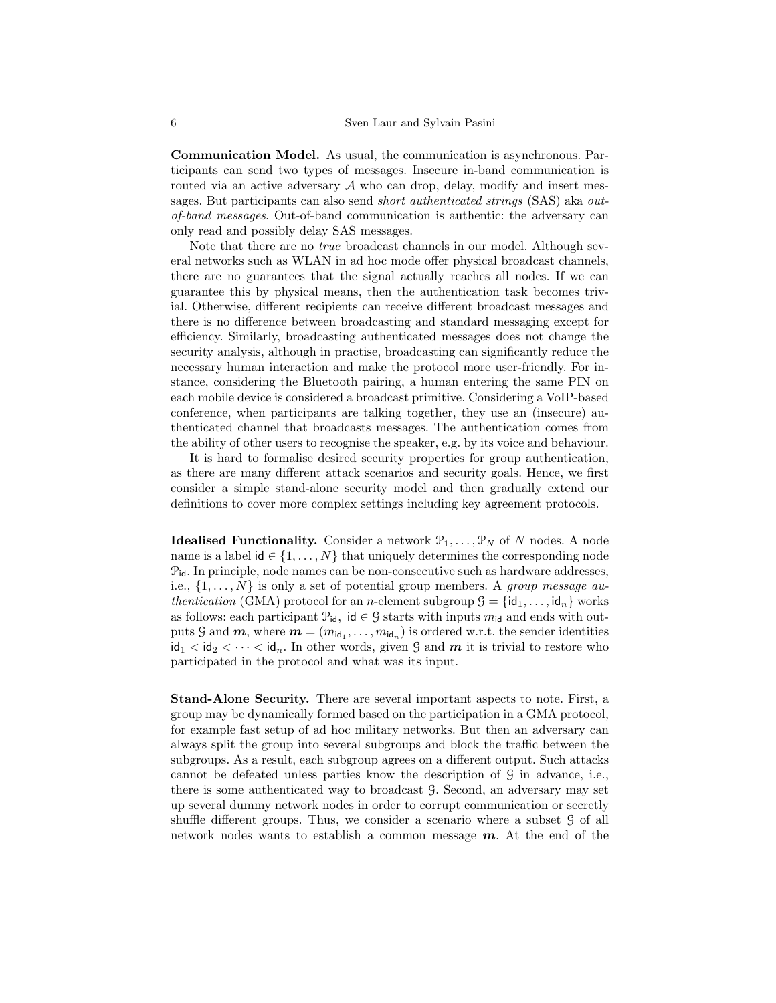Communication Model. As usual, the communication is asynchronous. Participants can send two types of messages. Insecure in-band communication is routed via an active adversary  $A$  who can drop, delay, modify and insert messages. But participants can also send *short authenticated strings* (SAS) aka *out*of-band messages. Out-of-band communication is authentic: the adversary can only read and possibly delay SAS messages.

Note that there are no true broadcast channels in our model. Although several networks such as WLAN in ad hoc mode offer physical broadcast channels, there are no guarantees that the signal actually reaches all nodes. If we can guarantee this by physical means, then the authentication task becomes trivial. Otherwise, different recipients can receive different broadcast messages and there is no difference between broadcasting and standard messaging except for efficiency. Similarly, broadcasting authenticated messages does not change the security analysis, although in practise, broadcasting can significantly reduce the necessary human interaction and make the protocol more user-friendly. For instance, considering the Bluetooth pairing, a human entering the same PIN on each mobile device is considered a broadcast primitive. Considering a VoIP-based conference, when participants are talking together, they use an (insecure) authenticated channel that broadcasts messages. The authentication comes from the ability of other users to recognise the speaker, e.g. by its voice and behaviour.

It is hard to formalise desired security properties for group authentication, as there are many different attack scenarios and security goals. Hence, we first consider a simple stand-alone security model and then gradually extend our definitions to cover more complex settings including key agreement protocols.

**Idealised Functionality.** Consider a network  $\mathcal{P}_1, \ldots, \mathcal{P}_N$  of N nodes. A node name is a label id  $\in \{1, \ldots, N\}$  that uniquely determines the corresponding node  $\mathcal{P}_{\mathsf{id}}$ . In principle, node names can be non-consecutive such as hardware addresses, i.e.,  $\{1, \ldots, N\}$  is only a set of potential group members. A group message authentication (GMA) protocol for an n-element subgroup  $\mathcal{G} = \{id_1, \ldots, id_n\}$  works as follows: each participant  $\mathcal{P}_{\mathsf{id}}$ ,  $\mathsf{id} \in \mathcal{G}$  starts with inputs  $m_{\mathsf{id}}$  and ends with outputs G and  $m$ , where  $m = (m_{\mathsf{id}_1}, \ldots, m_{\mathsf{id}_n})$  is ordered w.r.t. the sender identities  $id_1 < id_2 < \cdots < id_n$ . In other words, given G and m it is trivial to restore who participated in the protocol and what was its input.

Stand-Alone Security. There are several important aspects to note. First, a group may be dynamically formed based on the participation in a GMA protocol, for example fast setup of ad hoc military networks. But then an adversary can always split the group into several subgroups and block the traffic between the subgroups. As a result, each subgroup agrees on a different output. Such attacks cannot be defeated unless parties know the description of G in advance, i.e., there is some authenticated way to broadcast G. Second, an adversary may set up several dummy network nodes in order to corrupt communication or secretly shuffle different groups. Thus, we consider a scenario where a subset G of all network nodes wants to establish a common message  $m$ . At the end of the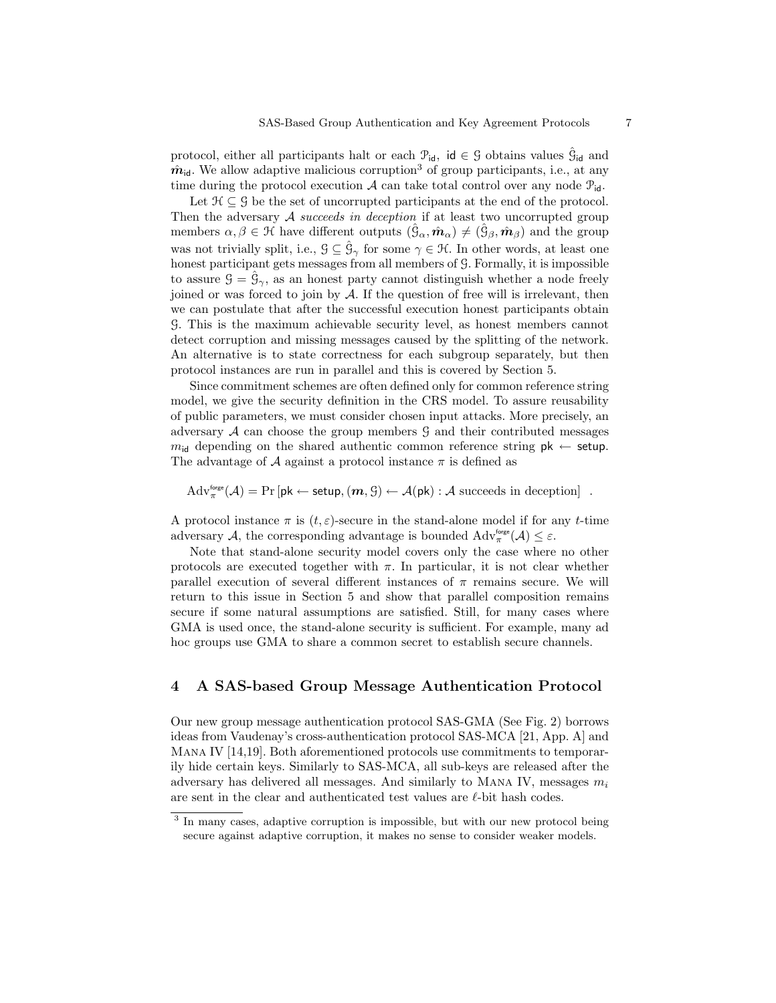protocol, either all participants halt or each  $\mathcal{P}_{\text{id}}$ ,  $\mathsf{id} \in \mathcal{G}$  obtains values  $\hat{\mathcal{G}}_{\mathsf{id}}$  and  $\hat{m}_{\text{id}}$ . We allow adaptive malicious corruption<sup>3</sup> of group participants, i.e., at any time during the protocol execution  $\mathcal A$  can take total control over any node  $\mathcal P_{\mathsf{id}}$ .

Let  $\mathcal{H} \subseteq \mathcal{G}$  be the set of uncorrupted participants at the end of the protocol. Then the adversary  $A$  succeeds in deception if at least two uncorrupted group members  $\alpha, \beta \in \mathcal{H}$  have different outputs  $(\hat{S}_{\alpha}, \hat{m}_{\alpha}) \neq (\hat{S}_{\beta}, \hat{m}_{\beta})$  and the group was not trivially split, i.e.,  $\mathcal{G} \subseteq \hat{\mathcal{G}}_{\gamma}$  for some  $\gamma \in \mathcal{H}$ . In other words, at least one honest participant gets messages from all members of G. Formally, it is impossible to assure  $\hat{g} = \hat{g}_{\gamma}$ , as an honest party cannot distinguish whether a node freely joined or was forced to join by  $\mathcal{A}$ . If the question of free will is irrelevant, then we can postulate that after the successful execution honest participants obtain G. This is the maximum achievable security level, as honest members cannot detect corruption and missing messages caused by the splitting of the network. An alternative is to state correctness for each subgroup separately, but then protocol instances are run in parallel and this is covered by Section 5.

Since commitment schemes are often defined only for common reference string model, we give the security definition in the CRS model. To assure reusability of public parameters, we must consider chosen input attacks. More precisely, an adversary  $A$  can choose the group members  $\mathcal G$  and their contributed messages  $m_{\text{id}}$  depending on the shared authentic common reference string  $pk \leftarrow$  setup. The advantage of A against a protocol instance  $\pi$  is defined as

 $\mathrm{Adv}_{\pi}^{\mathrm{forget}}(\mathcal{A}) = \Pr\left[\mathsf{pk} \leftarrow \mathsf{setup}, (\bm{m}, \bm{\mathcal{G}}) \leftarrow \mathcal{A}(\mathsf{pk}) : \mathcal{A} \text{ succeeds in deception}\right] \enspace .$ 

A protocol instance  $\pi$  is  $(t, \varepsilon)$ -secure in the stand-alone model if for any t-time adversary A, the corresponding advantage is bounded  $\text{Adv}_{\pi}^{\text{foge}}(\mathcal{A}) \leq \varepsilon$ .

Note that stand-alone security model covers only the case where no other protocols are executed together with  $\pi$ . In particular, it is not clear whether parallel execution of several different instances of  $\pi$  remains secure. We will return to this issue in Section 5 and show that parallel composition remains secure if some natural assumptions are satisfied. Still, for many cases where GMA is used once, the stand-alone security is sufficient. For example, many ad hoc groups use GMA to share a common secret to establish secure channels.

## 4 A SAS-based Group Message Authentication Protocol

Our new group message authentication protocol SAS-GMA (See Fig. 2) borrows ideas from Vaudenay's cross-authentication protocol SAS-MCA [21, App. A] and Mana IV [14,19]. Both aforementioned protocols use commitments to temporarily hide certain keys. Similarly to SAS-MCA, all sub-keys are released after the adversary has delivered all messages. And similarly to MANA IV, messages  $m_i$ are sent in the clear and authenticated test values are  $\ell$ -bit hash codes.

<sup>&</sup>lt;sup>3</sup> In many cases, adaptive corruption is impossible, but with our new protocol being secure against adaptive corruption, it makes no sense to consider weaker models.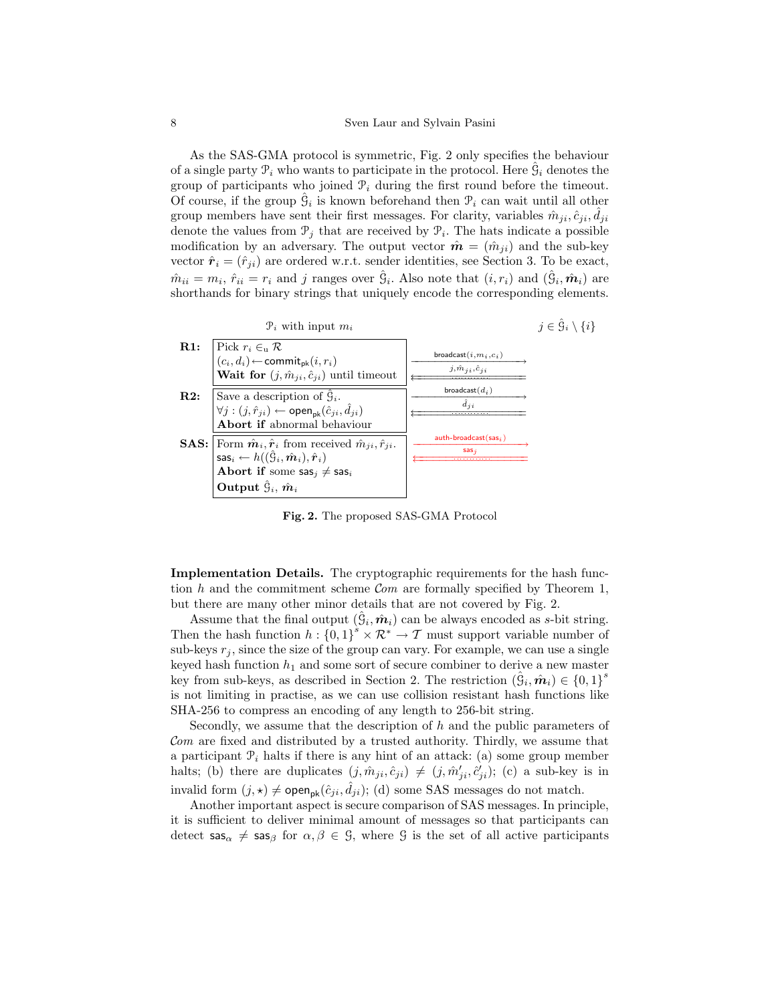#### 8 Sven Laur and Sylvain Pasini

As the SAS-GMA protocol is symmetric, Fig. 2 only specifies the behaviour of a single party  $\mathcal{P}_i$  who wants to participate in the protocol. Here  $\hat{\mathcal{G}}_i$  denotes the group of participants who joined  $P_i$  during the first round before the timeout. Of course, if the group  $\hat{G}_i$  is known beforehand then  $\mathcal{P}_i$  can wait until all other group members have sent their first messages. For clarity, variables  $\hat{m}_{ji}, \hat{c}_{ji}, \hat{d}_{ji}$ denote the values from  $\mathcal{P}_j$  that are received by  $\mathcal{P}_i$ . The hats indicate a possible modification by an adversary. The output vector  $\hat{\mathbf{m}} = (\hat{m}_{ii})$  and the sub-key vector  $\hat{\mathbf{r}}_i = (\hat{r}_{ii})$  are ordered w.r.t. sender identities, see Section 3. To be exact,  $\hat{m}_{ii} = m_i$ ,  $\hat{r}_{ii} = r_i$  and j ranges over  $\hat{G}_i$ . Also note that  $(i, r_i)$  and  $(\hat{G}_i, \hat{m}_i)$  are shorthands for binary strings that uniquely encode the corresponding elements.



Fig. 2. The proposed SAS-GMA Protocol

Implementation Details. The cryptographic requirements for the hash function h and the commitment scheme  $Com$  are formally specified by Theorem 1, but there are many other minor details that are not covered by Fig. 2.

Assume that the final output  $(\hat{G}_i, \hat{m}_i)$  can be always encoded as s-bit string. Then the hash function  $h: \{0,1\}^s \times \mathbb{R}^* \to \mathcal{T}$  must support variable number of sub-keys  $r_i$ , since the size of the group can vary. For example, we can use a single keyed hash function  $h_1$  and some sort of secure combiner to derive a new master key from sub-keys, as described in Section 2. The restriction  $(\hat{G}_i, \hat{m}_i) \in \{0,1\}^s$ is not limiting in practise, as we can use collision resistant hash functions like SHA-256 to compress an encoding of any length to 256-bit string.

Secondly, we assume that the description of  $h$  and the public parameters of Com are fixed and distributed by a trusted authority. Thirdly, we assume that a participant  $P_i$  halts if there is any hint of an attack: (a) some group member halts; (b) there are duplicates  $(j, \hat{m}_{ji}, \hat{c}_{ji}) \neq (j, \hat{m}'_{ji}, \hat{c}'_{ji})$ ; (c) a sub-key is in invalid form  $(j, \star) \neq \mathsf{open}_{\mathsf{pk}}(\hat{c}_{ji}, \hat{d}_{ji});$  (d) some SAS messages do not match.

Another important aspect is secure comparison of SAS messages. In principle, it is sufficient to deliver minimal amount of messages so that participants can detect  $\mathsf{sas}_{\alpha} \neq \mathsf{sas}_{\beta}$  for  $\alpha, \beta \in \mathcal{G}$ , where G is the set of all active participants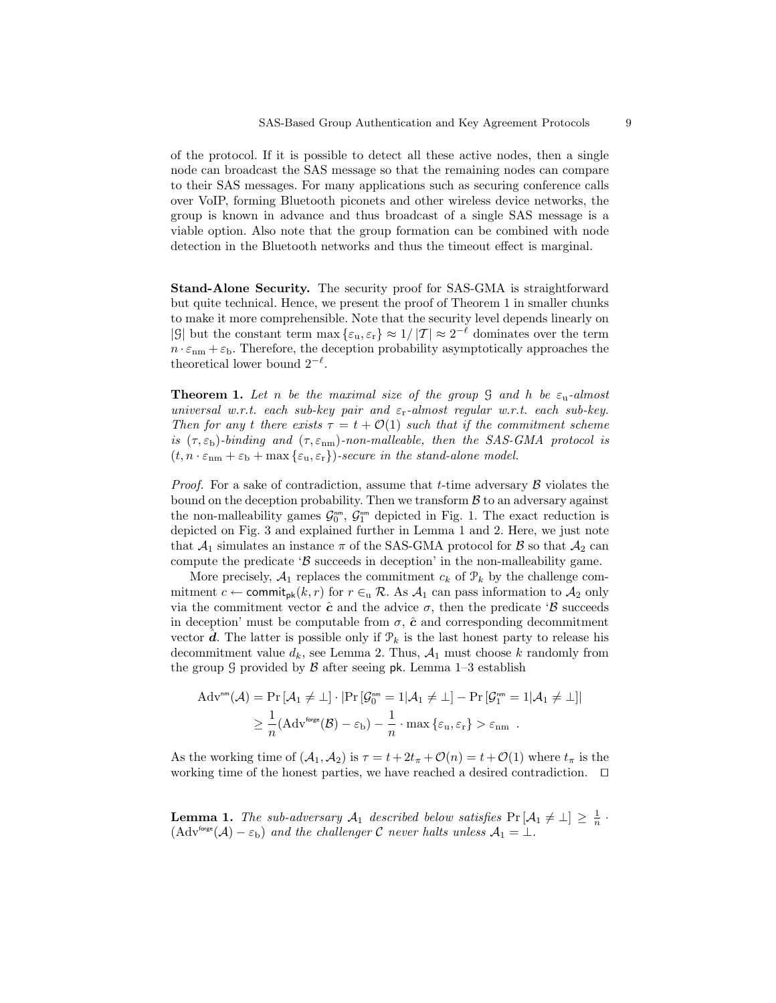of the protocol. If it is possible to detect all these active nodes, then a single node can broadcast the SAS message so that the remaining nodes can compare to their SAS messages. For many applications such as securing conference calls over VoIP, forming Bluetooth piconets and other wireless device networks, the group is known in advance and thus broadcast of a single SAS message is a viable option. Also note that the group formation can be combined with node detection in the Bluetooth networks and thus the timeout effect is marginal.

Stand-Alone Security. The security proof for SAS-GMA is straightforward but quite technical. Hence, we present the proof of Theorem 1 in smaller chunks to make it more comprehensible. Note that the security level depends linearly on | $\mathcal{G}$ | but the constant term max  $\{\varepsilon_{u}, \varepsilon_{r}\} \approx 1/|\mathcal{T}| \approx 2^{-\ell}$  dominates over the term  $n \cdot \varepsilon_{nm} + \varepsilon_b$ . Therefore, the deception probability asymptotically approaches the theoretical lower bound  $2^{-\ell}$ .

**Theorem 1.** Let n be the maximal size of the group  $\mathcal G$  and h be  $\varepsilon_u$ -almost universal w.r.t. each sub-key pair and  $\varepsilon_r$ -almost regular w.r.t. each sub-key. Then for any t there exists  $\tau = t + \mathcal{O}(1)$  such that if the commitment scheme is  $(\tau, \varepsilon_{\rm b})$ -binding and  $(\tau, \varepsilon_{\rm nm})$ -non-malleable, then the SAS-GMA protocol is  $(t, n \cdot \varepsilon_{nm} + \varepsilon_b + \max{\varepsilon_u, \varepsilon_r})$ -secure in the stand-alone model.

*Proof.* For a sake of contradiction, assume that t-time adversary  $\beta$  violates the bound on the deception probability. Then we transform  $\beta$  to an adversary against the non-malleability games  $\mathcal{G}_0^{\text{nm}}$ ,  $\mathcal{G}_1^{\text{nm}}$  depicted in Fig. 1. The exact reduction is depicted on Fig. 3 and explained further in Lemma 1 and 2. Here, we just note that  $\mathcal{A}_1$  simulates an instance  $\pi$  of the SAS-GMA protocol for  $\mathcal{B}$  so that  $\mathcal{A}_2$  can compute the predicate  $\mathcal{B}$  succeeds in deception' in the non-malleability game.

More precisely,  $A_1$  replaces the commitment  $c_k$  of  $\mathcal{P}_k$  by the challenge commitment  $c \leftarrow$  commit<sub>pk</sub> $(k, r)$  for  $r \in_{u} \mathcal{R}$ . As  $\mathcal{A}_1$  can pass information to  $\mathcal{A}_2$  only via the commitment vector  $\hat{c}$  and the advice  $\sigma$ , then the predicate 'B succeeds in deception' must be computable from  $\sigma$ ,  $\hat{c}$  and corresponding decommitment vector **d**. The latter is possible only if  $\mathcal{P}_k$  is the last honest party to release his decommitment value  $d_k$ , see Lemma 2. Thus,  $A_1$  must choose k randomly from the group  $\mathfrak g$  provided by  $\mathfrak B$  after seeing pk. Lemma 1–3 establish

$$
Adv^{nm}(\mathcal{A}) = Pr\left[\mathcal{A}_1 \neq \bot\right] \cdot \left|Pr\left[\mathcal{G}_0^{nm} = 1 | \mathcal{A}_1 \neq \bot\right] - Pr\left[\mathcal{G}_1^{nm} = 1 | \mathcal{A}_1 \neq \bot\right]\right|
$$
  

$$
\geq \frac{1}{n} (Adv^{forge}(\mathcal{B}) - \varepsilon_b) - \frac{1}{n} \cdot max\left\{\varepsilon_u, \varepsilon_r\right\} > \varepsilon_{nm} .
$$

As the working time of  $(A_1, A_2)$  is  $\tau = t + 2t_\pi + \mathcal{O}(n) = t + \mathcal{O}(1)$  where  $t_\pi$  is the working time of the honest parties, we have reached a desired contradiction.  $\Box$ 

**Lemma 1.** The sub-adversary  $A_1$  described below satisfies  $Pr[A_1 \neq \bot] \geq \frac{1}{n}$ .  $(\text{Adv}^{6 \text{reg}}(\mathcal{A}) - \varepsilon_b)$  and the challenger C never halts unless  $\mathcal{A}_1 = \bot$ .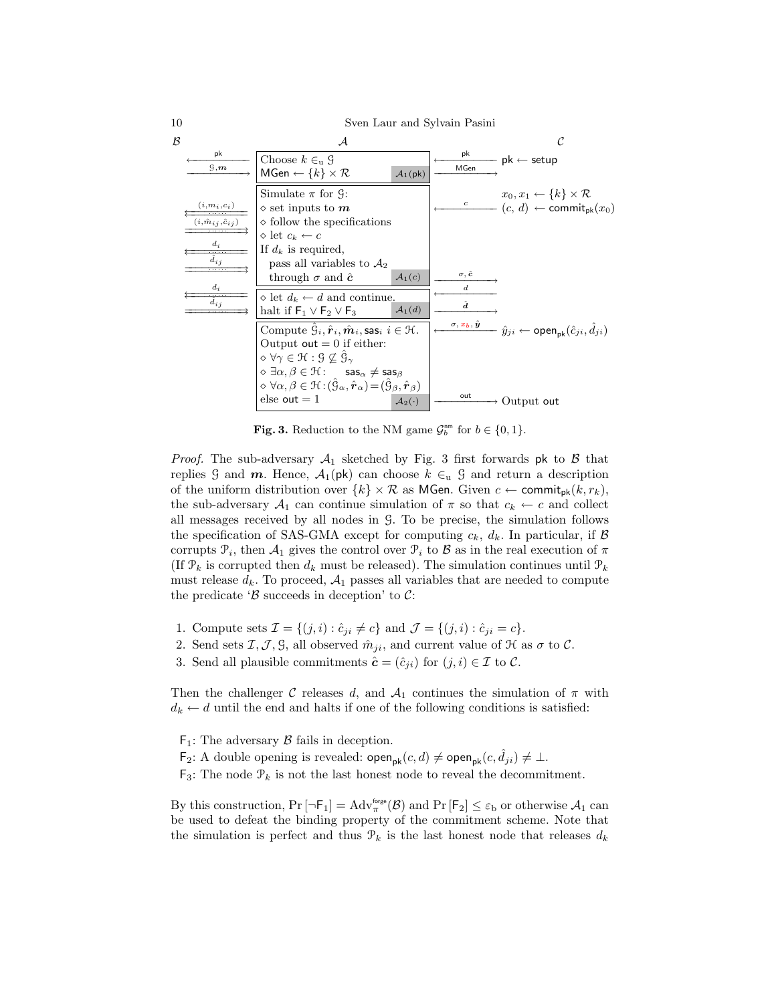10 Sven Laur and Sylvain Pasini



**Fig. 3.** Reduction to the NM game  $\mathcal{G}_b^{\text{nm}}$  for  $b \in \{0, 1\}$ .

*Proof.* The sub-adversary  $A_1$  sketched by Fig. 3 first forwards pk to  $B$  that replies G and m. Hence,  $A_1(\mathsf{pk})$  can choose  $k \in \mathcal{G}$  and return a description of the uniform distribution over  $\{k\} \times \mathcal{R}$  as MGen. Given  $c \leftarrow \text{commit}_{\text{pk}}(k, r_k)$ , the sub-adversary  $A_1$  can continue simulation of  $\pi$  so that  $c_k \leftarrow c$  and collect all messages received by all nodes in G. To be precise, the simulation follows the specification of SAS-GMA except for computing  $c_k$ ,  $d_k$ . In particular, if  $\beta$ corrupts  $P_i$ , then  $\mathcal{A}_1$  gives the control over  $P_i$  to  $\mathcal B$  as in the real execution of  $\pi$ (If  $\mathcal{P}_k$  is corrupted then  $d_k$  must be released). The simulation continues until  $\mathcal{P}_k$ must release  $d_k$ . To proceed,  $\mathcal{A}_1$  passes all variables that are needed to compute the predicate ' $\beta$  succeeds in deception' to  $\mathcal{C}$ :

- 1. Compute sets  $\mathcal{I} = \{(j, i) : \hat{c}_{ji} \neq c\}$  and  $\mathcal{J} = \{(j, i) : \hat{c}_{ji} = c\}.$
- 2. Send sets  $\mathcal{I}, \mathcal{J}, \mathcal{G},$  all observed  $\hat{m}_{ii}$ , and current value of  $\mathcal{H}$  as  $\sigma$  to  $\mathcal{C}$ .
- 3. Send all plausible commitments  $\hat{\mathbf{c}} = (\hat{c}_{ji})$  for  $(j, i) \in \mathcal{I}$  to  $\mathcal{C}$ .

Then the challenger C releases d, and  $A_1$  continues the simulation of  $\pi$  with  $d_k \leftarrow d$  until the end and halts if one of the following conditions is satisfied:

 $F_1$ : The adversary  $\beta$  fails in deception.

- F<sub>2</sub>: A double opening is revealed:  $\mathsf{open}_{\mathsf{pk}}(c, d) \neq \mathsf{open}_{\mathsf{pk}}(c, d_{ji}) \neq \bot$ .
- $F_3$ : The node  $\mathcal{P}_k$  is not the last honest node to reveal the decommitment.

By this construction,  $Pr[\neg F_1] = Adv_{\pi}^{forge}(\mathcal{B})$  and  $Pr[F_2] \leq \varepsilon_b$  or otherwise  $\mathcal{A}_1$  can be used to defeat the binding property of the commitment scheme. Note that the simulation is perfect and thus  $\mathcal{P}_k$  is the last honest node that releases  $d_k$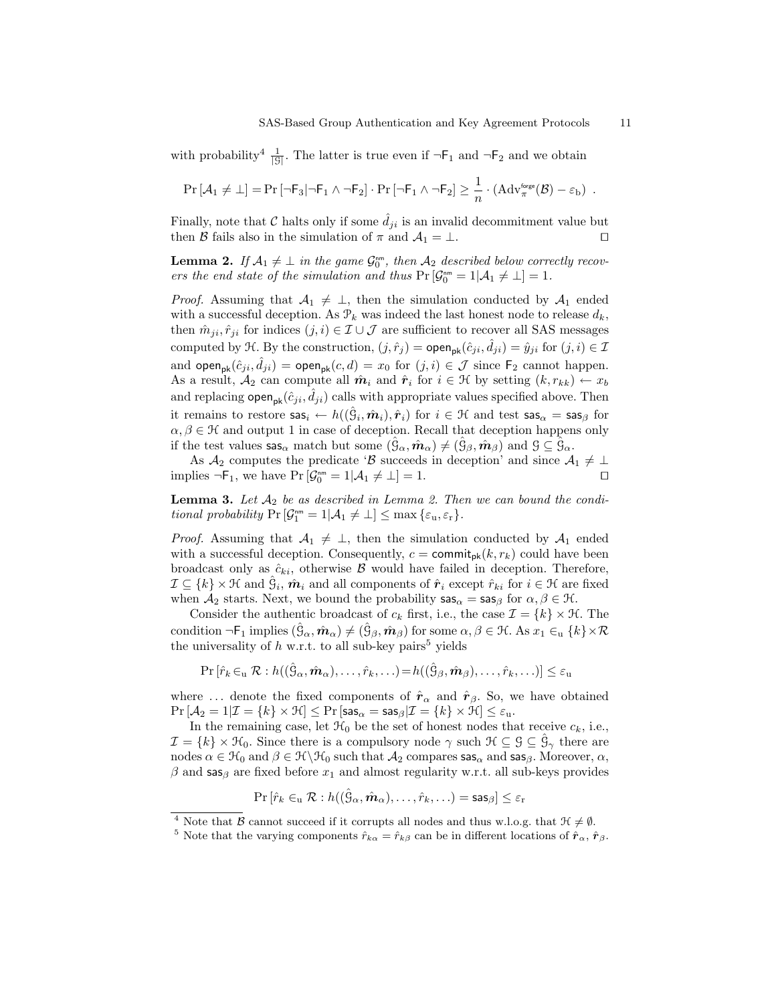with probability<sup>4</sup>  $\frac{1}{|S|}$ . The latter is true even if  $\neg$ F<sub>1</sub> and  $\neg$ F<sub>2</sub> and we obtain

$$
\Pr\left[\mathcal{A}_1 \neq \bot\right] = \Pr\left[\neg \mathsf{F}_3 | \neg \mathsf{F}_1 \land \neg \mathsf{F}_2\right] \cdot \Pr\left[\neg \mathsf{F}_1 \land \neg \mathsf{F}_2\right] \geq \frac{1}{n} \cdot \left(\mathrm{Adv}_{\pi}^{\mathrm{forget}}(\mathcal{B}) - \varepsilon_{\mathrm{b}}\right) \; .
$$

Finally, note that C halts only if some  $\hat{d}_{ji}$  is an invalid decommitment value but then B fails also in the simulation of  $\pi$  and  $\mathcal{A}_1 = \bot$ .

**Lemma 2.** If  $A_1 \neq \bot$  in the game  $\mathcal{G}_0^{\text{nm}}$ , then  $A_2$  described below correctly recovers the end state of the simulation and thus  $Pr[\mathcal{G}_0^{nm} = 1 | A_1 \neq \bot] = 1$ .

*Proof.* Assuming that  $A_1 \neq \perp$ , then the simulation conducted by  $A_1$  ended with a successful deception. As  $\mathcal{P}_k$  was indeed the last honest node to release  $d_k$ , then  $\hat{m}_{ji}, \hat{r}_{ji}$  for indices  $(j, i) \in \mathcal{I} \cup \mathcal{J}$  are sufficient to recover all SAS messages computed by  $\mathcal{H}$ . By the construction,  $(j, \hat{r}_j) = \mathsf{open}_{\mathsf{pk}}(\hat{c}_{ji}, \hat{d}_{ji}) = \hat{y}_{ji}$  for  $(j, i) \in \mathcal{I}$ and open<sub>pk</sub> $(\hat{c}_{ji}, \hat{d}_{ji}) =$  open<sub>pk</sub> $(c, d) = x_0$  for  $(j, i) \in \mathcal{J}$  since  $\mathsf{F}_2$  cannot happen. As a result,  $A_2$  can compute all  $\hat{\mathbf{m}}_i$  and  $\hat{\mathbf{r}}_i$  for  $i \in \mathcal{H}$  by setting  $(k, r_{kk}) \leftarrow x_b$ and replacing  $\mathsf{open}_{\mathsf{pk}}(\hat{c}_{ji}, \hat{d}_{ji})$  calls with appropriate values specified above. Then it remains to restore  $\mathsf{sas}_i \leftarrow h((\hat{\mathcal{G}}_i,\hat{\bm{m}}_i),\hat{\bm{r}}_i)$  for  $i\in\mathcal{H}$  and test  $\mathsf{sas}_\alpha=\mathsf{sas}_\beta$  for  $\alpha, \beta \in \mathcal{H}$  and output 1 in case of deception. Recall that deception happens only if the test values  $\mathsf{sas}_{\alpha}$  match but some  $(\hat{\mathcal{G}}_{\alpha}, \hat{\mathbf{m}}_{\alpha}) \neq (\hat{\mathcal{G}}_{\beta}, \hat{\mathbf{m}}_{\beta})$  and  $\mathcal{G} \subseteq \hat{\mathcal{G}}_{\alpha}$ .

As  $\mathcal{A}_2$  computes the predicate 'B succeeds in deception' and since  $\mathcal{A}_1 \neq \perp$ implies  $\neg F_1$ , we have  $Pr[\mathcal{G}_0^{nm} = 1 | \mathcal{A}_1 \neq \bot] = 1.$ 

**Lemma 3.** Let  $A_2$  be as described in Lemma 2. Then we can bound the conditional probability  $Pr\left[\mathcal{G}_1^{\text{nm}}=1|\mathcal{A}_1\neq\bot\right] \leq \max\left\{\varepsilon_{\text{u}},\varepsilon_{\text{r}}\right\}.$ 

*Proof.* Assuming that  $A_1 \neq \perp$ , then the simulation conducted by  $A_1$  ended with a successful deception. Consequently,  $c = \text{commit}_{\text{pk}}(k, r_k)$  could have been broadcast only as  $\hat{c}_{ki}$ , otherwise  $\beta$  would have failed in deception. Therefore,  $\mathcal{I} \subseteq \{k\} \times \mathcal{H}$  and  $\hat{\mathcal{G}}_i$ ,  $\hat{\boldsymbol{m}}_i$  and all components of  $\hat{\boldsymbol{r}}_i$  except  $\hat{r}_{ki}$  for  $i \in \mathcal{H}$  are fixed when  $A_2$  starts. Next, we bound the probability  $\mathsf{sas}_{\alpha} = \mathsf{sas}_{\beta}$  for  $\alpha, \beta \in \mathcal{H}$ .

Consider the authentic broadcast of  $c_k$  first, i.e., the case  $\mathcal{I} = \{k\} \times \mathcal{H}$ . The condition  $\neg \mathsf{F}_1$  implies  $(\hat{\mathcal{G}}_\alpha, \hat{\boldsymbol{m}}_\alpha) \neq (\hat{\mathcal{G}}_\beta, \hat{\boldsymbol{m}}_\beta)$  for some  $\alpha, \beta \in \mathcal{H}$ . As  $x_1 \in_{\mathfrak{u}} \{k\} \times \mathcal{R}$ the universality of  $h$  w.r.t. to all sub-key pairs<sup>5</sup> yields

$$
\Pr\left[\hat{r}_k \in_{\mathbf{u}} \mathcal{R} : h((\hat{\mathcal{G}}_{\alpha}, \hat{\mathbf{m}}_{\alpha}), \dots, \hat{r}_k, \ldots) = h((\hat{\mathcal{G}}_{\beta}, \hat{\mathbf{m}}_{\beta}), \dots, \hat{r}_k, \ldots)\right] \leq \varepsilon_{\mathbf{u}}
$$

where ... denote the fixed components of  $\hat{r}_{\alpha}$  and  $\hat{r}_{\beta}$ . So, we have obtained  $\Pr[\mathcal{A}_2 = 1 | \mathcal{I} = \{k\} \times \mathcal{H}] \leq \Pr[\mathsf{sas}_{\alpha} = \mathsf{sas}_{\beta} | \mathcal{I} = \{k\} \times \mathcal{H}] \leq \varepsilon_{\mathbf{u}}.$ 

In the remaining case, let  $\mathcal{H}_0$  be the set of honest nodes that receive  $c_k$ , i.e.,  $\mathcal{I} = \{k\} \times \mathcal{H}_0$ . Since there is a compulsory node  $\gamma$  such  $\mathcal{H} \subseteq \mathcal{G} \subseteq \hat{\mathcal{G}}_{\gamma}$  there are nodes  $\alpha \in \mathcal{H}_0$  and  $\beta \in \mathcal{H}\backslash\mathcal{H}_0$  such that  $\mathcal{A}_2$  compares sas<sub> $\alpha$ </sub> and sas $\beta$ . Moreover,  $\alpha$ ,  $\beta$  and sas<sub> $\beta$ </sub> are fixed before  $x_1$  and almost regularity w.r.t. all sub-keys provides

$$
\Pr\left[\hat{r}_k \in_{\mathbf{u}} \mathcal{R} : h((\hat{\mathcal{G}}_{\alpha}, \hat{\mathbf{m}}_{\alpha}), \dots, \hat{r}_k, \ldots) = \mathsf{sas}_{\beta}\right] \leq \varepsilon_{\mathbf{r}}
$$

<sup>&</sup>lt;sup>4</sup> Note that B cannot succeed if it corrupts all nodes and thus w.l.o.g. that  $\mathcal{H} \neq \emptyset$ .

<sup>&</sup>lt;sup>5</sup> Note that the varying components  $\hat{r}_{k\alpha} = \hat{r}_{k\beta}$  can be in different locations of  $\hat{r}_{\alpha}$ ,  $\hat{r}_{\beta}$ .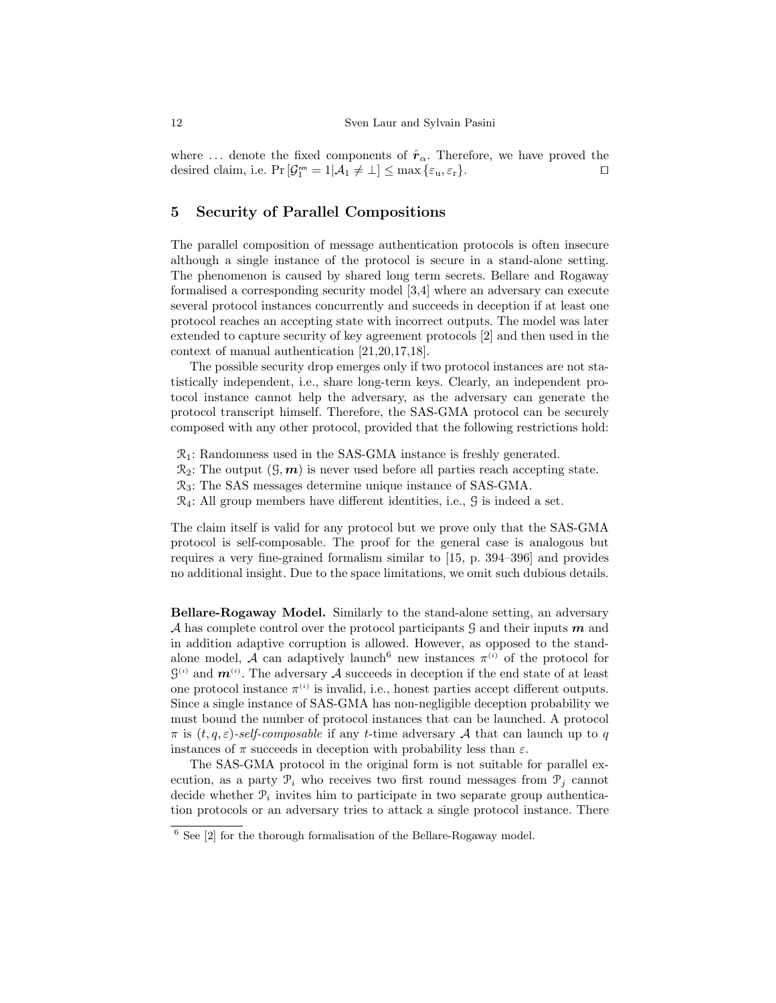where ... denote the fixed components of  $\hat{r}_{\alpha}$ . Therefore, we have proved the desired claim, i.e.  $Pr\left[\mathcal{G}_1^{\text{nm}}=1|\mathcal{A}_1\neq\bot\right] \leq \max\left\{\varepsilon_{\text{u}},\varepsilon_{\text{r}}\right\}.$ 

### 5 Security of Parallel Compositions

The parallel composition of message authentication protocols is often insecure although a single instance of the protocol is secure in a stand-alone setting. The phenomenon is caused by shared long term secrets. Bellare and Rogaway formalised a corresponding security model [3,4] where an adversary can execute several protocol instances concurrently and succeeds in deception if at least one protocol reaches an accepting state with incorrect outputs. The model was later extended to capture security of key agreement protocols [2] and then used in the context of manual authentication [21,20,17,18].

The possible security drop emerges only if two protocol instances are not statistically independent, i.e., share long-term keys. Clearly, an independent protocol instance cannot help the adversary, as the adversary can generate the protocol transcript himself. Therefore, the SAS-GMA protocol can be securely composed with any other protocol, provided that the following restrictions hold:

- $\mathcal{R}_1$ : Randomness used in the SAS-GMA instance is freshly generated.
- $\mathcal{R}_2$ : The output  $(\mathcal{G},\mathbf{m})$  is never used before all parties reach accepting state.
- R3: The SAS messages determine unique instance of SAS-GMA.
- $\mathcal{R}_4$ : All group members have different identities, i.e.,  $\mathcal{G}$  is indeed a set.

The claim itself is valid for any protocol but we prove only that the SAS-GMA protocol is self-composable. The proof for the general case is analogous but requires a very fine-grained formalism similar to [15, p. 394–396] and provides no additional insight. Due to the space limitations, we omit such dubious details.

Bellare-Rogaway Model. Similarly to the stand-alone setting, an adversary A has complete control over the protocol participants G and their inputs  $m$  and in addition adaptive corruption is allowed. However, as opposed to the standalone model, A can adaptively launch<sup>6</sup> new instances  $\pi^{(i)}$  of the protocol for  $\mathcal{G}^{(i)}$  and  $\mathbf{m}^{(i)}$ . The adversary A succeeds in deception if the end state of at least one protocol instance  $\pi^{(i)}$  is invalid, i.e., honest parties accept different outputs. Since a single instance of SAS-GMA has non-negligible deception probability we must bound the number of protocol instances that can be launched. A protocol  $\pi$  is  $(t, q, \varepsilon)$ -self-composable if any t-time adversary A that can launch up to q instances of  $\pi$  succeeds in deception with probability less than  $\varepsilon$ .

The SAS-GMA protocol in the original form is not suitable for parallel execution, as a party  $\mathcal{P}_i$  who receives two first round messages from  $\mathcal{P}_i$  cannot decide whether  $\mathcal{P}_i$  invites him to participate in two separate group authentication protocols or an adversary tries to attack a single protocol instance. There

 $6$  See [2] for the thorough formalisation of the Bellare-Rogaway model.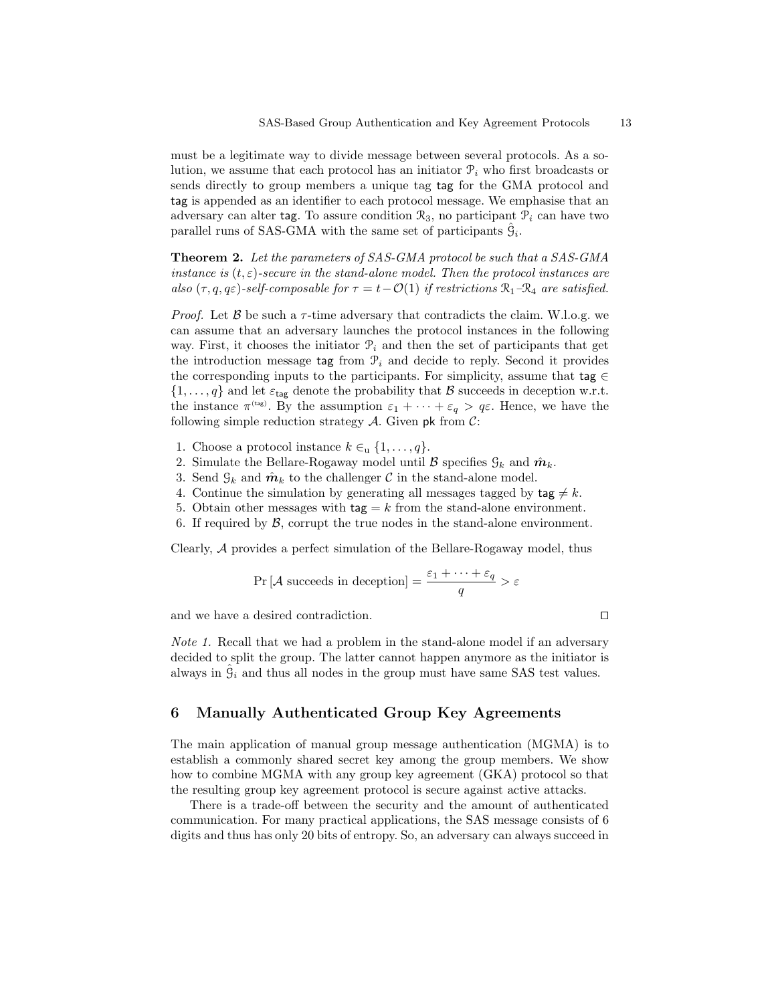must be a legitimate way to divide message between several protocols. As a solution, we assume that each protocol has an initiator  $\mathcal{P}_i$  who first broadcasts or sends directly to group members a unique tag tag for the GMA protocol and tag is appended as an identifier to each protocol message. We emphasise that an adversary can alter tag. To assure condition  $\mathcal{R}_3$ , no participant  $\mathcal{P}_i$  can have two parallel runs of SAS-GMA with the same set of participants  $\hat{g}_i$ .

Theorem 2. Let the parameters of SAS-GMA protocol be such that a SAS-GMA instance is  $(t, \varepsilon)$ -secure in the stand-alone model. Then the protocol instances are also  $(\tau, q, q\varepsilon)$ -self-composable for  $\tau = t - \mathcal{O}(1)$  if restrictions  $\mathcal{R}_1 - \mathcal{R}_4$  are satisfied.

*Proof.* Let  $\beta$  be such a  $\tau$ -time adversary that contradicts the claim. W.l.o.g. we can assume that an adversary launches the protocol instances in the following way. First, it chooses the initiator  $\mathcal{P}_i$  and then the set of participants that get the introduction message tag from  $\mathcal{P}_i$  and decide to reply. Second it provides the corresponding inputs to the participants. For simplicity, assume that  $tag \in$  $\{1,\ldots,q\}$  and let  $\varepsilon_{\text{tag}}$  denote the probability that  $\mathcal B$  succeeds in deception w.r.t. the instance  $\pi^{(\text{tag})}$ . By the assumption  $\varepsilon_1 + \cdots + \varepsilon_q > q\varepsilon$ . Hence, we have the following simple reduction strategy  $A$ . Given pk from  $C$ :

- 1. Choose a protocol instance  $k \in \{1, \ldots, q\}.$
- 2. Simulate the Bellare-Rogaway model until B specifies  $\mathcal{G}_k$  and  $\hat{\mathbf{m}}_k$ .
- 3. Send  $\mathcal{G}_k$  and  $\hat{\mathbf{m}}_k$  to the challenger C in the stand-alone model.
- 4. Continue the simulation by generating all messages tagged by  $\text{tag } \neq k$ .
- 5. Obtain other messages with  $\text{tag} = k$  from the stand-alone environment.
- 6. If required by  $\beta$ , corrupt the true nodes in the stand-alone environment.

Clearly, A provides a perfect simulation of the Bellare-Rogaway model, thus

$$
\Pr\left[\mathcal{A} \text{ succeeds in deception}\right] = \frac{\varepsilon_1 + \dots + \varepsilon_q}{q} > \varepsilon
$$

and we have a desired contradiction.  $\Box$ 

Note 1. Recall that we had a problem in the stand-alone model if an adversary decided to split the group. The latter cannot happen anymore as the initiator is always in  $\hat{g}_i$  and thus all nodes in the group must have same SAS test values.

#### 6 Manually Authenticated Group Key Agreements

The main application of manual group message authentication (MGMA) is to establish a commonly shared secret key among the group members. We show how to combine MGMA with any group key agreement (GKA) protocol so that the resulting group key agreement protocol is secure against active attacks.

There is a trade-off between the security and the amount of authenticated communication. For many practical applications, the SAS message consists of 6 digits and thus has only 20 bits of entropy. So, an adversary can always succeed in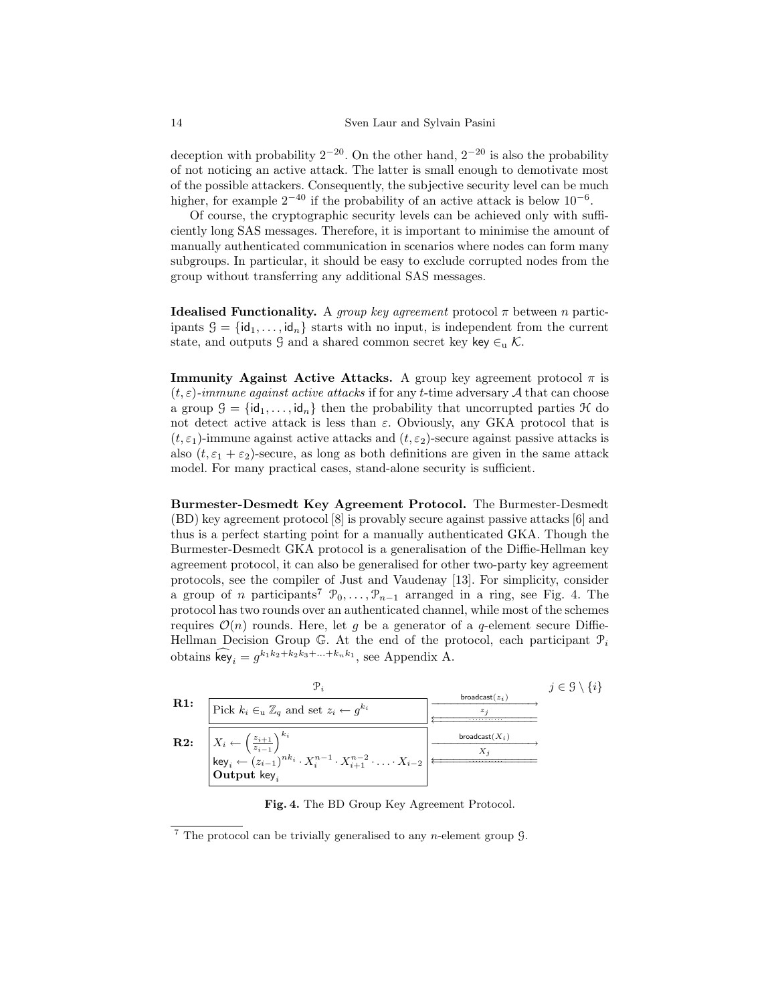deception with probability  $2^{-20}$ . On the other hand,  $2^{-20}$  is also the probability of not noticing an active attack. The latter is small enough to demotivate most of the possible attackers. Consequently, the subjective security level can be much higher, for example  $2^{-40}$  if the probability of an active attack is below  $10^{-6}$ .

Of course, the cryptographic security levels can be achieved only with sufficiently long SAS messages. Therefore, it is important to minimise the amount of manually authenticated communication in scenarios where nodes can form many subgroups. In particular, it should be easy to exclude corrupted nodes from the group without transferring any additional SAS messages.

**Idealised Functionality.** A group key agreement protocol  $\pi$  between n participants  $\mathcal{G} = \{id_1, \ldots, id_n\}$  starts with no input, is independent from the current state, and outputs G and a shared common secret key key  $\in_u \mathcal{K}$ .

**Immunity Against Active Attacks.** A group key agreement protocol  $\pi$  is  $(t, \varepsilon)$ -immune against active attacks if for any t-time adversary A that can choose a group  $\mathcal{G} = \{id_1, \ldots, id_n\}$  then the probability that uncorrupted parties  $\mathcal{H}$  do not detect active attack is less than  $\varepsilon$ . Obviously, any GKA protocol that is  $(t, \varepsilon_1)$ -immune against active attacks and  $(t, \varepsilon_2)$ -secure against passive attacks is also  $(t, \varepsilon_1 + \varepsilon_2)$ -secure, as long as both definitions are given in the same attack model. For many practical cases, stand-alone security is sufficient.

Burmester-Desmedt Key Agreement Protocol. The Burmester-Desmedt (BD) key agreement protocol [8] is provably secure against passive attacks [6] and thus is a perfect starting point for a manually authenticated GKA. Though the Burmester-Desmedt GKA protocol is a generalisation of the Diffie-Hellman key agreement protocol, it can also be generalised for other two-party key agreement protocols, see the compiler of Just and Vaudenay [13]. For simplicity, consider a group of n participants<sup>7</sup>  $\mathcal{P}_0, \ldots, \mathcal{P}_{n-1}$  arranged in a ring, see Fig. 4. The protocol has two rounds over an authenticated channel, while most of the schemes requires  $\mathcal{O}(n)$  rounds. Here, let g be a generator of a q-element secure Diffie-Hellman Decision Group G. At the end of the protocol, each participant  $\mathcal{P}_i$ obtains  $\widehat{\text{key}}_i = g^{k_1 k_2 + k_2 k_3 + \ldots + k_n k_1}$ , see Appendix A.



Fig. 4. The BD Group Key Agreement Protocol.

<sup>&</sup>lt;sup>7</sup> The protocol can be trivially generalised to any *n*-element group  $\mathcal{G}$ .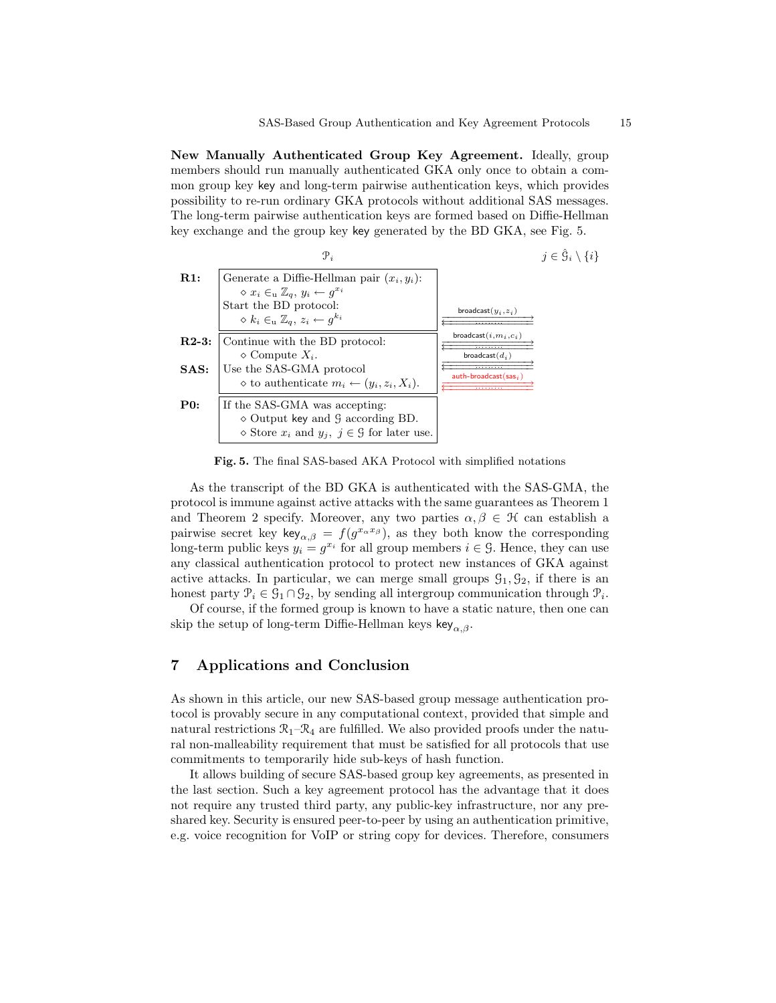New Manually Authenticated Group Key Agreement. Ideally, group members should run manually authenticated GKA only once to obtain a common group key key and long-term pairwise authentication keys, which provides possibility to re-run ordinary GKA protocols without additional SAS messages. The long-term pairwise authentication keys are formed based on Diffie-Hellman key exchange and the group key key generated by the BD GKA, see Fig. 5.



Fig. 5. The final SAS-based AKA Protocol with simplified notations

As the transcript of the BD GKA is authenticated with the SAS-GMA, the protocol is immune against active attacks with the same guarantees as Theorem 1 and Theorem 2 specify. Moreover, any two parties  $\alpha, \beta \in \mathcal{H}$  can establish a pairwise secret key key<sub> $\alpha,\beta$ </sub> =  $f(g^{x_{\alpha}x_{\beta}})$ , as they both know the corresponding long-term public keys  $y_i = g^{x_i}$  for all group members  $i \in \mathcal{G}$ . Hence, they can use any classical authentication protocol to protect new instances of GKA against active attacks. In particular, we can merge small groups  $\mathcal{G}_1, \mathcal{G}_2$ , if there is an honest party  $\mathcal{P}_i \in \mathcal{G}_1 \cap \mathcal{G}_2$ , by sending all intergroup communication through  $\mathcal{P}_i$ .

Of course, if the formed group is known to have a static nature, then one can skip the setup of long-term Diffie-Hellman keys key<sub>αβ</sub>.

# 7 Applications and Conclusion

As shown in this article, our new SAS-based group message authentication protocol is provably secure in any computational context, provided that simple and natural restrictions  $\mathcal{R}_1-\mathcal{R}_4$  are fulfilled. We also provided proofs under the natural non-malleability requirement that must be satisfied for all protocols that use commitments to temporarily hide sub-keys of hash function.

It allows building of secure SAS-based group key agreements, as presented in the last section. Such a key agreement protocol has the advantage that it does not require any trusted third party, any public-key infrastructure, nor any preshared key. Security is ensured peer-to-peer by using an authentication primitive, e.g. voice recognition for VoIP or string copy for devices. Therefore, consumers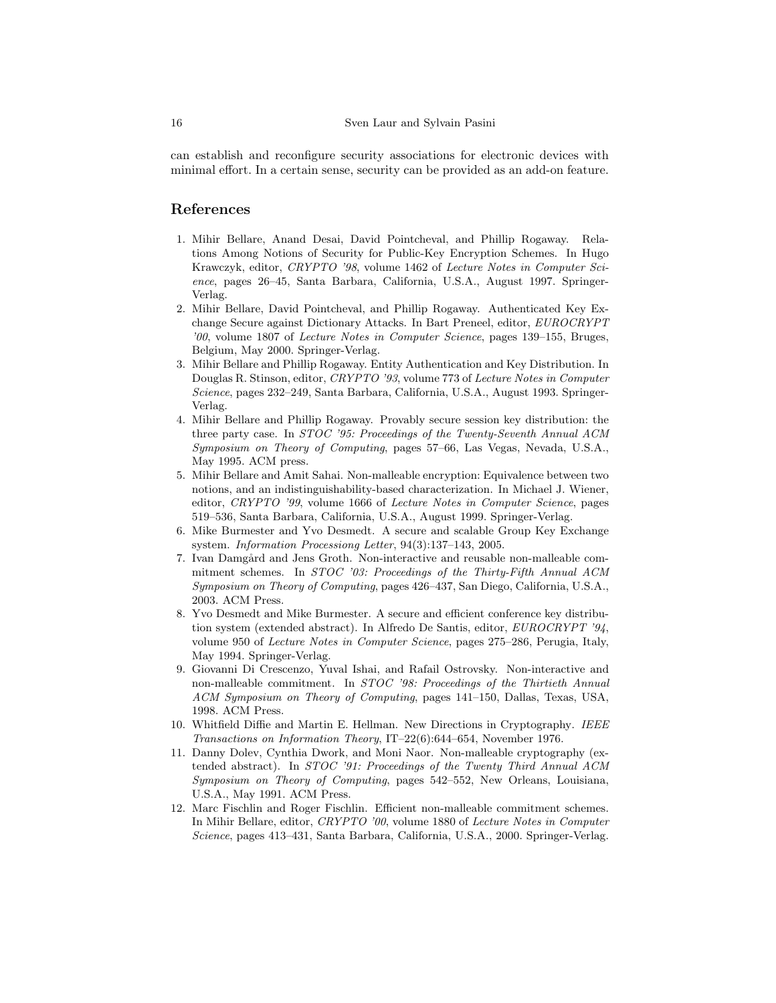can establish and reconfigure security associations for electronic devices with minimal effort. In a certain sense, security can be provided as an add-on feature.

#### References

- 1. Mihir Bellare, Anand Desai, David Pointcheval, and Phillip Rogaway. Relations Among Notions of Security for Public-Key Encryption Schemes. In Hugo Krawczyk, editor, CRYPTO '98, volume 1462 of Lecture Notes in Computer Science, pages 26–45, Santa Barbara, California, U.S.A., August 1997. Springer-Verlag.
- 2. Mihir Bellare, David Pointcheval, and Phillip Rogaway. Authenticated Key Exchange Secure against Dictionary Attacks. In Bart Preneel, editor, EUROCRYPT '00, volume 1807 of Lecture Notes in Computer Science, pages 139–155, Bruges, Belgium, May 2000. Springer-Verlag.
- 3. Mihir Bellare and Phillip Rogaway. Entity Authentication and Key Distribution. In Douglas R. Stinson, editor, CRYPTO '93, volume 773 of Lecture Notes in Computer Science, pages 232–249, Santa Barbara, California, U.S.A., August 1993. Springer-Verlag.
- 4. Mihir Bellare and Phillip Rogaway. Provably secure session key distribution: the three party case. In STOC '95: Proceedings of the Twenty-Seventh Annual ACM Symposium on Theory of Computing, pages 57–66, Las Vegas, Nevada, U.S.A., May 1995. ACM press.
- 5. Mihir Bellare and Amit Sahai. Non-malleable encryption: Equivalence between two notions, and an indistinguishability-based characterization. In Michael J. Wiener, editor, CRYPTO '99, volume 1666 of Lecture Notes in Computer Science, pages 519–536, Santa Barbara, California, U.S.A., August 1999. Springer-Verlag.
- 6. Mike Burmester and Yvo Desmedt. A secure and scalable Group Key Exchange system. Information Processiong Letter, 94(3):137–143, 2005.
- 7. Ivan Damgård and Jens Groth. Non-interactive and reusable non-malleable commitment schemes. In STOC '03: Proceedings of the Thirty-Fifth Annual ACM Symposium on Theory of Computing, pages 426–437, San Diego, California, U.S.A., 2003. ACM Press.
- 8. Yvo Desmedt and Mike Burmester. A secure and efficient conference key distribution system (extended abstract). In Alfredo De Santis, editor, EUROCRYPT '94, volume 950 of Lecture Notes in Computer Science, pages 275–286, Perugia, Italy, May 1994. Springer-Verlag.
- 9. Giovanni Di Crescenzo, Yuval Ishai, and Rafail Ostrovsky. Non-interactive and non-malleable commitment. In STOC '98: Proceedings of the Thirtieth Annual ACM Symposium on Theory of Computing, pages 141–150, Dallas, Texas, USA, 1998. ACM Press.
- 10. Whitfield Diffie and Martin E. Hellman. New Directions in Cryptography. IEEE Transactions on Information Theory, IT–22(6):644–654, November 1976.
- 11. Danny Dolev, Cynthia Dwork, and Moni Naor. Non-malleable cryptography (extended abstract). In STOC '91: Proceedings of the Twenty Third Annual ACM Symposium on Theory of Computing, pages 542–552, New Orleans, Louisiana, U.S.A., May 1991. ACM Press.
- 12. Marc Fischlin and Roger Fischlin. Efficient non-malleable commitment schemes. In Mihir Bellare, editor, CRYPTO '00, volume 1880 of Lecture Notes in Computer Science, pages 413–431, Santa Barbara, California, U.S.A., 2000. Springer-Verlag.